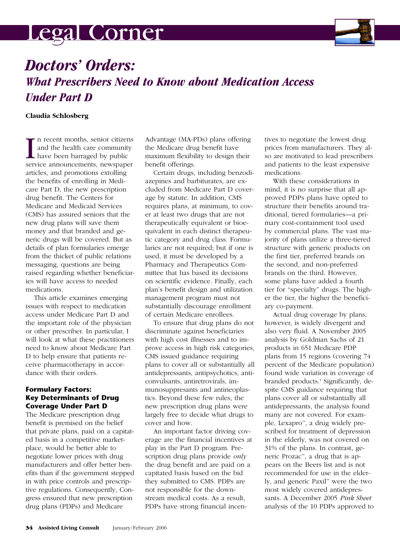# <u>legal Corner </u>



# *Doctors' Orders: What Prescribers Need to Know about Medication Access Under Part D*

## **Claudia Schlosberg**

I and the health care community<br>and the health care community<br>have been barraged by public<br>service announcements, newspaper n recent months, senior citizens and the health care community have been barraged by public articles, and promotions extolling the benefits of enrolling in Medicare Part D, the new prescription drug benefit. The Centers for Medicare and Medicaid Services (CMS) has assured seniors that the new drug plans will save them money and that branded and generic drugs will be covered. But as details of plan formularies emerge from the thicket of public relations messaging, questions are being raised regarding whether beneficiaries will have access to needed medications.

This article examines emerging issues with respect to medication access under Medicare Part D and the important role of the physician or other prescriber. In particular, I will look at what these practitioners need to know about Medicare Part D to help ensure that patients receive pharmacotherapy in accordance with their orders.

# **Formulary Factors: Key Determinants of Drug Coverage Under Part D**

The Medicare prescription drug benefit is premised on the belief that private plans, paid on a capitated basis in a competitive marketplace, would be better able to negotiate lower prices with drug manufacturers and offer better benefits than if the government stepped in with price controls and prescriptive regulations. Consequently, Congress ensured that new prescription drug plans (PDPs) and Medicare

Advantage (MA-PDs) plans offering the Medicare drug benefit have maximum flexibility to design their benefit offerings.

Certain drugs, including benzodiazepines and barbiturates, are excluded from Medicare Part D coverage by statute. In addition, CMS requires plans, at minimum, to cover at least two drugs that are not therapeutically equivalent or bioequivalent in each distinct therapeutic category and drug class. Formularies are not required; but if one is used, it must be developed by a Pharmacy and Therapeutics Committee that has based its decisions on scientific evidence. Finally, each plan's benefit design and utilization management program must not substantially discourage enrollment of certain Medicare enrollees.

To ensure that drug plans do not discriminate against beneficiaries with high cost illnesses and to improve access in high risk categories, CMS issued guidance requiring plans to cover all or substantially all antidepressants, antipsychotics, anticonvulsants, antiretrovirals, immunosuppresants and antineoplastics. Beyond these few rules, the new prescription drug plans were largely free to decide what drugs to cover and how.

An important factor driving coverage are the financial incentives at play in the Part D program. Prescription drug plans provide *only* the drug benefit and are paid on a capitated basis based on the bid they submitted to CMS. PDPs are not responsible for the downstream medical costs. As a result, PDPs have strong financial incen-

tives to negotiate the lowest drug prices from manufacturers. They also are motivated to lead prescribers and patients to the least expensive medications.

With these considerations in mind, it is no surprise that all approved PDPs plans have opted to structure their benefits around traditional, tiered formularies—a primary cost-containment tool used by commercial plans. The vast majority of plans utilize a three-tiered structure with generic products on the first tier, preferred brands on the second, and non-preferred brands on the third. However, some plans have added a fourth tier for "specialty" drugs. The higher the tier, the higher the beneficiary co-payment.

Actual drug coverage by plans, however, is widely divergent and also very fluid. A November 2005 analysis by Goldman Sachs of 21 products in 651 Medicare PDP plans from 15 regions (covering 74 percent of the Medicare population) found wide variation in coverage of branded products.<sup>1</sup> Significantly, despite CMS guidance requiring that plans cover all or substantially all antidepressants, the analysis found many are not covered. For example, Lexapro™, a drug widely prescribed for treatment of depression in the elderly, was not covered on 31% of the plans. In contrast, generic Prozac™, a drug that is appears on the Beers list and is not recommended for use in the elderly, and generic Paxil™ were the two most widely covered antidepressants. A December 2005 *Pink Sheet* analysis of the 10 PDPs approved to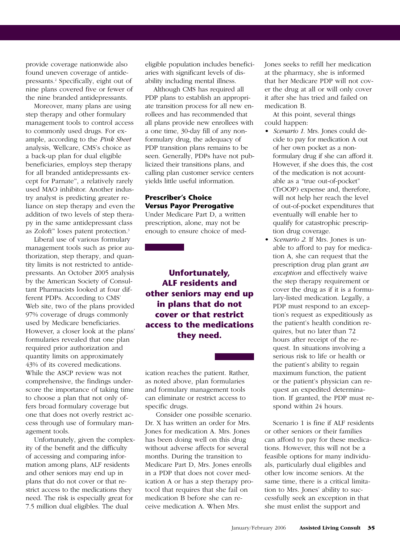provide coverage nationwide also found uneven coverage of antidepressants.2 Specifically, eight out of nine plans covered five or fewer of the nine branded antidepressants.

Moreover, many plans are using step therapy and other formulary management tools to control access to commonly used drugs. For example, according to the *Pink Sheet* analysis, Wellcare, CMS's choice as a back-up plan for dual eligible beneficiaries, employs step therapy for all branded antidepressants except for Parnate™, a relatively rarely used MAO inhibitor. Another industry analyst is predicting greater reliance on step therapy and even the addition of two levels of step therapy in the same antidepressant class as Zoloft™ loses patent protection.3

Liberal use of various formulary management tools such as prior authorization, step therapy, and quantity limits is not restricted to antidepressants. An October 2005 analysis by the American Society of Consultant Pharmacists looked at four different PDPs. According to CMS' Web site, two of the plans provided 97% coverage of drugs commonly used by Medicare beneficiaries. However, a closer look at the plans' formularies revealed that one plan required prior authorization and quantity limits on approximately 43% of its covered medications. While the ASCP review was not comprehensive, the findings underscore the importance of taking time to choose a plan that not only offers broad formulary coverage but one that does not overly restrict access through use of formulary management tools.

Unfortunately, given the complexity of the benefit and the difficulty of accessing and comparing information among plans, ALF residents and other seniors may end up in plans that do not cover or that restrict access to the medications they need. The risk is especially great for 7.5 million dual eligibles. The dual

eligible population includes beneficiaries with significant levels of disability including mental illness.

Although CMS has required all PDP plans to establish an appropriate transition process for all new enrollees and has recommended that all plans provide new enrollees with a one time, 30-day fill of any nonformulary drug, the adequacy of PDP transition plans remains to be seen. Generally, PDPs have not publicized their transitions plans, and calling plan customer service centers yields little useful information.

### **Prescriber's Choice Versus Payor Prerogative**

Under Medicare Part D, a written prescription, alone, may not be enough to ensure choice of med-

**Unfortunately, ALF residents and other seniors may end up in plans that do not cover or that restrict access to the medications they need.** 

ication reaches the patient. Rather, as noted above, plan formularies and formulary management tools can eliminate or restrict access to specific drugs.

Consider one possible scenario. Dr. X has written an order for Mrs. Jones for medication A. Mrs. Jones has been doing well on this drug without adverse affects for several months. During the transition to Medicare Part D, Mrs. Jones enrolls in a PDP that does not cover medication A or has a step therapy protocol that requires that she fail on medication B before she can receive medication A. When Mrs.

Jones seeks to refill her medication at the pharmacy, she is informed that her Medicare PDP will not cover the drug at all or will only cover it after she has tried and failed on medication B.

At this point, several things could happen:

- *Scenario 1*. Mrs. Jones could decide to pay for medication A out of her own pocket as a nonformulary drug if she can afford it. However, if she does this, the cost of the medication is not acountable as a "true out-of-pocket" (TrOOP) expense and, therefore, will not help her reach the level of out-of-pocket expenditures that eventually will enable her to qualify for catastrophic prescription drug coverage.
- *Scenario 2*. If Mrs. Jones is unable to afford to pay for medication A, she can request that the prescription drug plan grant *an exception* and effectively waive the step therapy requirement or cover the drug as if it is a formulary-listed medication. Legally, a PDP must respond to an exception's request as expeditiously as the patient's health condition requires, but no later than 72 hours after receipt of the request. In situations involving a serious risk to life or health or the patient's ability to regain maximum function, the patient or the patient's physician can request an expedited determination. If granted, the PDP must respond within 24 hours.

Scenario 1 is fine if ALF residents or other seniors or their families can afford to pay for these medications. However, this will not be a feasible options for many individuals, particularly dual eligibles and other low income seniors. At the same time, there is a critical limitation to Mrs. Jones' ability to successfully seek an exception in that she must enlist the support and